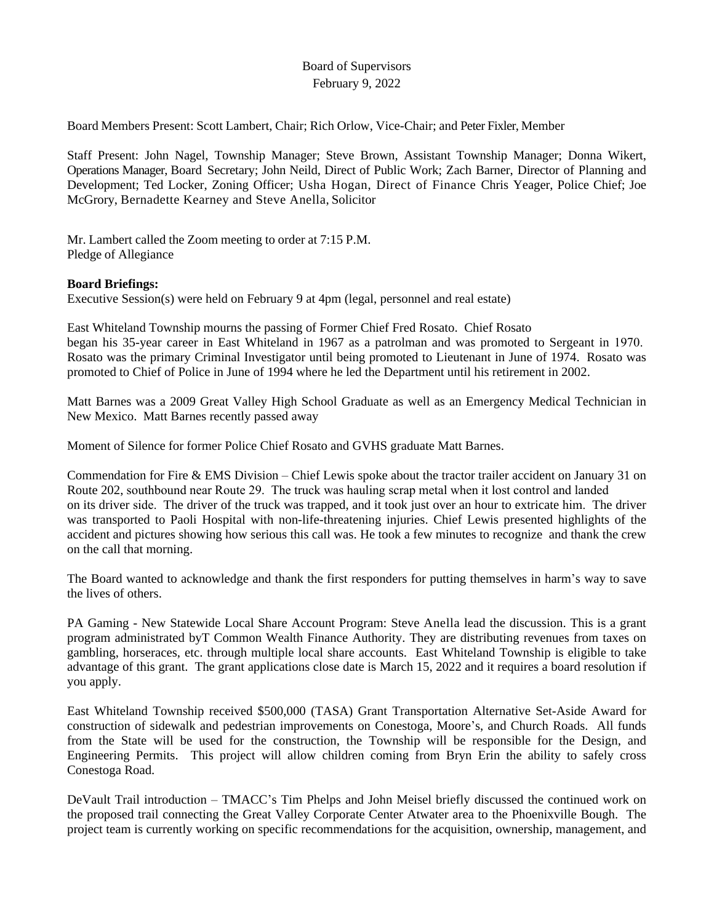# Board of Supervisors February 9, 2022

Board Members Present: Scott Lambert, Chair; Rich Orlow, Vice-Chair; and Peter Fixler, Member

Staff Present: John Nagel, Township Manager; Steve Brown, Assistant Township Manager; Donna Wikert, Operations Manager, Board Secretary; John Neild, Direct of Public Work; Zach Barner, Director of Planning and Development; Ted Locker, Zoning Officer; Usha Hogan, Direct of Finance Chris Yeager, Police Chief; Joe McGrory, Bernadette Kearney and Steve Anella, Solicitor

Mr. Lambert called the Zoom meeting to order at 7:15 P.M. Pledge of Allegiance

## **Board Briefings:**

Executive Session(s) were held on February 9 at 4pm (legal, personnel and real estate)

East Whiteland Township mourns the passing of Former Chief Fred Rosato. Chief Rosato began his 35-year career in East Whiteland in 1967 as a patrolman and was promoted to Sergeant in 1970. Rosato was the primary Criminal Investigator until being promoted to Lieutenant in June of 1974. Rosato was promoted to Chief of Police in June of 1994 where he led the Department until his retirement in 2002.

Matt Barnes was a 2009 Great Valley High School Graduate as well as an Emergency Medical Technician in New Mexico. Matt Barnes recently passed away

Moment of Silence for former Police Chief Rosato and GVHS graduate Matt Barnes.

Commendation for Fire & EMS Division – Chief Lewis spoke about the tractor trailer accident on January 31 on Route 202, southbound near Route 29. The truck was hauling scrap metal when it lost control and landed on its driver side. The driver of the truck was trapped, and it took just over an hour to extricate him. The driver was transported to Paoli Hospital with non-life-threatening injuries. Chief Lewis presented highlights of the accident and pictures showing how serious this call was. He took a few minutes to recognize and thank the crew on the call that morning.

The Board wanted to acknowledge and thank the first responders for putting themselves in harm's way to save the lives of others.

PA Gaming - New Statewide Local Share Account Program: Steve Anella lead the discussion. This is a grant program administrated byT Common Wealth Finance Authority. They are distributing revenues from taxes on gambling, horseraces, etc. through multiple local share accounts. East Whiteland Township is eligible to take advantage of this grant. The grant applications close date is March 15, 2022 and it requires a board resolution if you apply.

East Whiteland Township received \$500,000 (TASA) Grant Transportation Alternative Set-Aside Award for construction of sidewalk and pedestrian improvements on Conestoga, Moore's, and Church Roads. All funds from the State will be used for the construction, the Township will be responsible for the Design, and Engineering Permits. This project will allow children coming from Bryn Erin the ability to safely cross Conestoga Road.

DeVault Trail introduction – TMACC's Tim Phelps and John Meisel briefly discussed the continued work on the proposed trail connecting the Great Valley Corporate Center Atwater area to the Phoenixville Bough. The project team is currently working on specific recommendations for the acquisition, ownership, management, and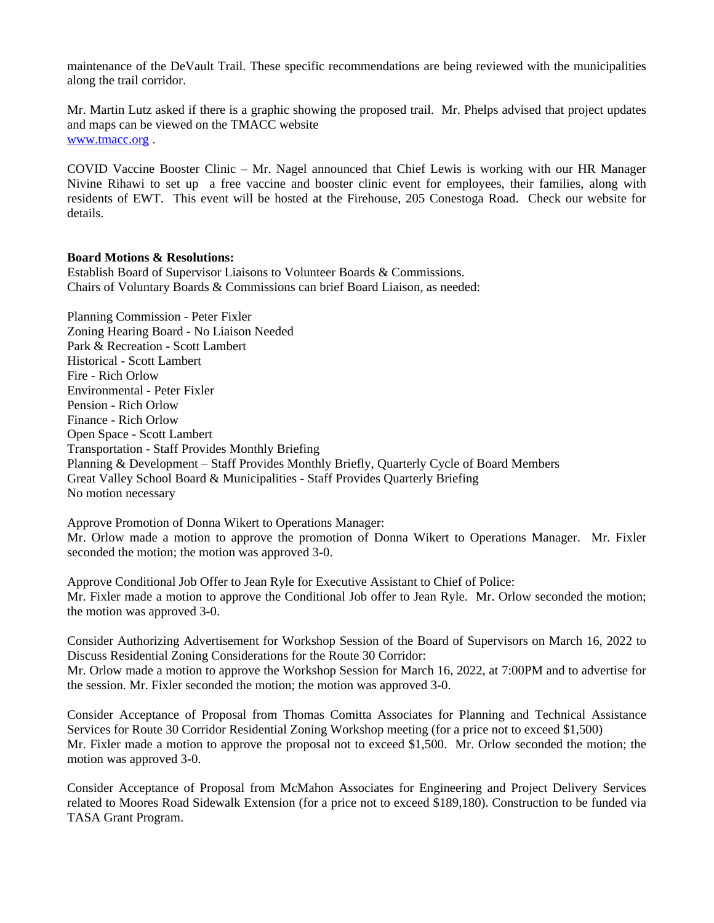maintenance of the DeVault Trail. These specific recommendations are being reviewed with the municipalities along the trail corridor.

Mr. Martin Lutz asked if there is a graphic showing the proposed trail. Mr. Phelps advised that project updates and maps can be viewed on the TMACC website [www.tmacc.org](http://www.tmacc.org) .

COVID Vaccine Booster Clinic – Mr. Nagel announced that Chief Lewis is working with our HR Manager Nivine Rihawi to set up a free vaccine and booster clinic event for employees, their families, along with residents of EWT. This event will be hosted at the Firehouse, 205 Conestoga Road. Check our website for details.

### **Board Motions & Resolutions:**

Establish Board of Supervisor Liaisons to Volunteer Boards & Commissions. Chairs of Voluntary Boards & Commissions can brief Board Liaison, as needed:

Planning Commission - Peter Fixler Zoning Hearing Board - No Liaison Needed Park & Recreation - Scott Lambert Historical - Scott Lambert Fire - Rich Orlow Environmental - Peter Fixler Pension - Rich Orlow Finance - Rich Orlow Open Space - Scott Lambert Transportation - Staff Provides Monthly Briefing Planning & Development – Staff Provides Monthly Briefly, Quarterly Cycle of Board Members Great Valley School Board & Municipalities - Staff Provides Quarterly Briefing No motion necessary

Approve Promotion of Donna Wikert to Operations Manager: Mr. Orlow made a motion to approve the promotion of Donna Wikert to Operations Manager. Mr. Fixler seconded the motion; the motion was approved 3-0.

Approve Conditional Job Offer to Jean Ryle for Executive Assistant to Chief of Police: Mr. Fixler made a motion to approve the Conditional Job offer to Jean Ryle. Mr. Orlow seconded the motion; the motion was approved 3-0.

Consider Authorizing Advertisement for Workshop Session of the Board of Supervisors on March 16, 2022 to Discuss Residential Zoning Considerations for the Route 30 Corridor: Mr. Orlow made a motion to approve the Workshop Session for March 16, 2022, at 7:00PM and to advertise for the session. Mr. Fixler seconded the motion; the motion was approved 3-0.

Consider Acceptance of Proposal from Thomas Comitta Associates for Planning and Technical Assistance Services for Route 30 Corridor Residential Zoning Workshop meeting (for a price not to exceed \$1,500) Mr. Fixler made a motion to approve the proposal not to exceed \$1,500. Mr. Orlow seconded the motion; the motion was approved 3-0.

Consider Acceptance of Proposal from McMahon Associates for Engineering and Project Delivery Services related to Moores Road Sidewalk Extension (for a price not to exceed \$189,180). Construction to be funded via TASA Grant Program.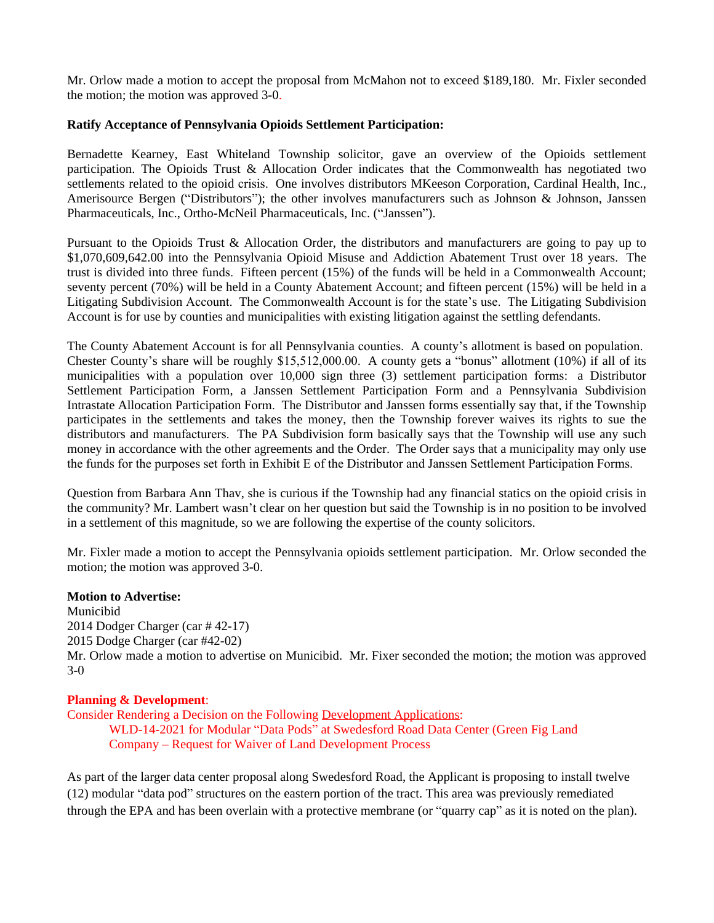Mr. Orlow made a motion to accept the proposal from McMahon not to exceed \$189,180. Mr. Fixler seconded the motion; the motion was approved 3-0.

## **Ratify Acceptance of Pennsylvania Opioids Settlement Participation:**

Bernadette Kearney, East Whiteland Township solicitor, gave an overview of the Opioids settlement participation. The Opioids Trust & Allocation Order indicates that the Commonwealth has negotiated two settlements related to the opioid crisis. One involves distributors MKeeson Corporation, Cardinal Health, Inc., Amerisource Bergen ("Distributors"); the other involves manufacturers such as Johnson & Johnson, Janssen Pharmaceuticals, Inc., Ortho-McNeil Pharmaceuticals, Inc. ("Janssen").

Pursuant to the Opioids Trust & Allocation Order, the distributors and manufacturers are going to pay up to \$1,070,609,642.00 into the Pennsylvania Opioid Misuse and Addiction Abatement Trust over 18 years. The trust is divided into three funds. Fifteen percent (15%) of the funds will be held in a Commonwealth Account; seventy percent (70%) will be held in a County Abatement Account; and fifteen percent (15%) will be held in a Litigating Subdivision Account. The Commonwealth Account is for the state's use. The Litigating Subdivision Account is for use by counties and municipalities with existing litigation against the settling defendants.

The County Abatement Account is for all Pennsylvania counties. A county's allotment is based on population. Chester County's share will be roughly \$15,512,000.00. A county gets a "bonus" allotment (10%) if all of its municipalities with a population over 10,000 sign three (3) settlement participation forms: a Distributor Settlement Participation Form, a Janssen Settlement Participation Form and a Pennsylvania Subdivision Intrastate Allocation Participation Form. The Distributor and Janssen forms essentially say that, if the Township participates in the settlements and takes the money, then the Township forever waives its rights to sue the distributors and manufacturers. The PA Subdivision form basically says that the Township will use any such money in accordance with the other agreements and the Order. The Order says that a municipality may only use the funds for the purposes set forth in Exhibit E of the Distributor and Janssen Settlement Participation Forms.

Question from Barbara Ann Thav, she is curious if the Township had any financial statics on the opioid crisis in the community? Mr. Lambert wasn't clear on her question but said the Township is in no position to be involved in a settlement of this magnitude, so we are following the expertise of the county solicitors.

Mr. Fixler made a motion to accept the Pennsylvania opioids settlement participation. Mr. Orlow seconded the motion; the motion was approved 3-0.

#### **Motion to Advertise:**

Municibid 2014 Dodger Charger (car # 42-17) 2015 Dodge Charger (car #42-02) Mr. Orlow made a motion to advertise on Municibid. Mr. Fixer seconded the motion; the motion was approved 3-0

## **Planning & Development**:

Consider Rendering a Decision on the Following [Development Applications](https://www.eastwhiteland.org/305/Land-Developments): WLD-14-2021 for Modular "Data Pods" at Swedesford Road Data Center (Green Fig Land Company – Request for Waiver of Land Development Process

As part of the larger data center proposal along Swedesford Road, the Applicant is proposing to install twelve (12) modular "data pod" structures on the eastern portion of the tract. This area was previously remediated through the EPA and has been overlain with a protective membrane (or "quarry cap" as it is noted on the plan).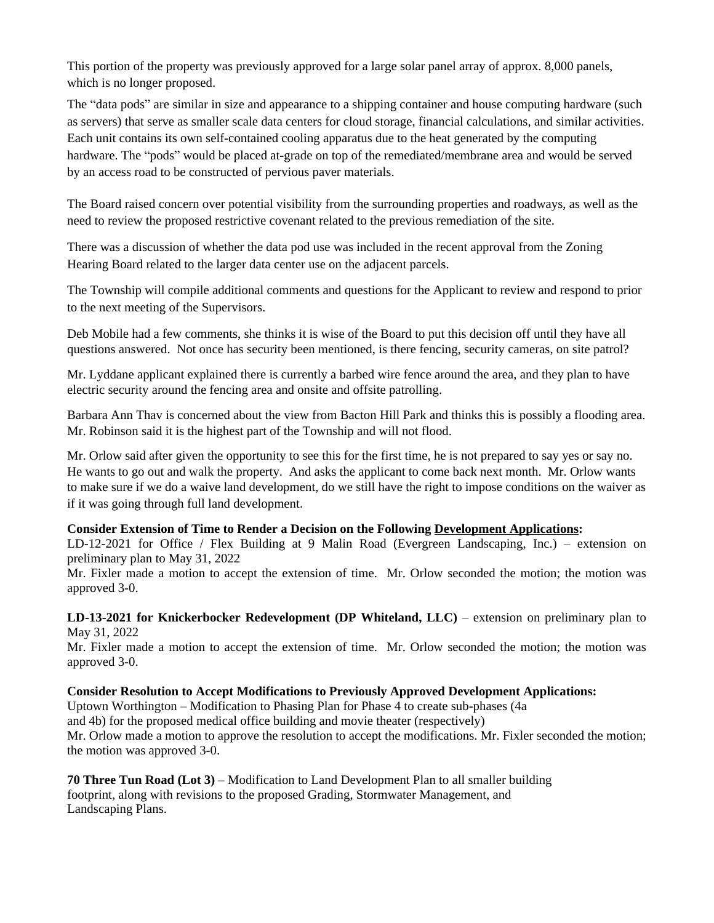This portion of the property was previously approved for a large solar panel array of approx. 8,000 panels, which is no longer proposed.

The "data pods" are similar in size and appearance to a shipping container and house computing hardware (such as servers) that serve as smaller scale data centers for cloud storage, financial calculations, and similar activities. Each unit contains its own self-contained cooling apparatus due to the heat generated by the computing hardware. The "pods" would be placed at-grade on top of the remediated/membrane area and would be served by an access road to be constructed of pervious paver materials.

The Board raised concern over potential visibility from the surrounding properties and roadways, as well as the need to review the proposed restrictive covenant related to the previous remediation of the site.

There was a discussion of whether the data pod use was included in the recent approval from the Zoning Hearing Board related to the larger data center use on the adjacent parcels.

The Township will compile additional comments and questions for the Applicant to review and respond to prior to the next meeting of the Supervisors.

Deb Mobile had a few comments, she thinks it is wise of the Board to put this decision off until they have all questions answered. Not once has security been mentioned, is there fencing, security cameras, on site patrol?

Mr. Lyddane applicant explained there is currently a barbed wire fence around the area, and they plan to have electric security around the fencing area and onsite and offsite patrolling.

Barbara Ann Thav is concerned about the view from Bacton Hill Park and thinks this is possibly a flooding area. Mr. Robinson said it is the highest part of the Township and will not flood.

Mr. Orlow said after given the opportunity to see this for the first time, he is not prepared to say yes or say no. He wants to go out and walk the property. And asks the applicant to come back next month. Mr. Orlow wants to make sure if we do a waive land development, do we still have the right to impose conditions on the waiver as if it was going through full land development.

# **Consider Extension of Time to Render a Decision on the Following [Development Applications](https://www.eastwhiteland.org/305/Land-Developments):**

LD-12-2021 for Office / Flex Building at 9 Malin Road (Evergreen Landscaping, Inc.) – extension on preliminary plan to May 31, 2022

Mr. Fixler made a motion to accept the extension of time. Mr. Orlow seconded the motion; the motion was approved 3-0.

**LD-13-2021 for Knickerbocker Redevelopment (DP Whiteland, LLC)** – extension on preliminary plan to May 31, 2022

Mr. Fixler made a motion to accept the extension of time. Mr. Orlow seconded the motion; the motion was approved 3-0.

# **Consider Resolution to Accept Modifications to Previously Approved Development Applications:**

Uptown Worthington – Modification to Phasing Plan for Phase 4 to create sub-phases (4a and 4b) for the proposed medical office building and movie theater (respectively) Mr. Orlow made a motion to approve the resolution to accept the modifications. Mr. Fixler seconded the motion; the motion was approved 3-0.

**70 Three Tun Road (Lot 3)** – Modification to Land Development Plan to all smaller building footprint, along with revisions to the proposed Grading, Stormwater Management, and Landscaping Plans.